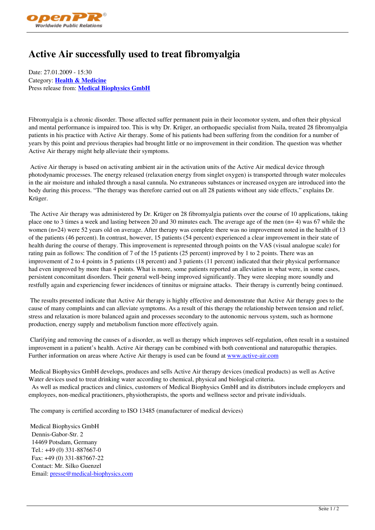## **Active Air successfully used to treat fibromyalgia**

Date: 27.01.2009 - 15:30 Category: **Health & Medicine** Press release from: **Medical Biophysics GmbH**

Fibromyalgia is a c[hronic disorder. Those affecte](http://www.openPR.com/news/archiv/43127/Medical-Biophysics-GmbH.html)d suffer permanent pain in their locomotor system, and often their physical and mental performance is impaired too. This is why Dr. Krüger, an orthopaedic specialist from Naila, treated 28 fibromyalgia patients in his practice with Active Air therapy. Some of his patients had been suffering from the condition for a number of years by this point and previous therapies had brought little or no improvement in their condition. The question was whether Active Air therapy might help alleviate their symptoms.

 Active Air therapy is based on activating ambient air in the activation units of the Active Air medical device through photodynamic processes. The energy released (relaxation energy from singlet oxygen) is transported through water molecules in the air moisture and inhaled through a nasal cannula. No extraneous substances or increased oxygen are introduced into the body during this process. "The therapy was therefore carried out on all 28 patients without any side effects," explains Dr. Krüger.

 The Active Air therapy was administered by Dr. Krüger on 28 fibromyalgia patients over the course of 10 applications, taking place one to 3 times a week and lasting between 20 and 30 minutes each. The average age of the men (n= 4) was 67 while the women (n=24) were 52 years old on average. After therapy was complete there was no improvement noted in the health of 13 of the patients (46 percent). In contrast, however, 15 patients (54 percent) experienced a clear improvement in their state of health during the course of therapy. This improvement is represented through points on the VAS (visual analogue scale) for rating pain as follows: The condition of 7 of the 15 patients (25 percent) improved by 1 to 2 points. There was an improvement of 2 to 4 points in 5 patients (18 percent) and 3 patients (11 percent) indicated that their physical performance had even improved by more than 4 points. What is more, some patients reported an alleviation in what were, in some cases, persistent concomitant disorders. Their general well-being improved significantly. They were sleeping more soundly and restfully again and experiencing fewer incidences of tinnitus or migraine attacks. Their therapy is currently being continued.

 The results presented indicate that Active Air therapy is highly effective and demonstrate that Active Air therapy goes to the cause of many complaints and can alleviate symptoms. As a result of this therapy the relationship between tension and relief, stress and relaxation is more balanced again and processes secondary to the autonomic nervous system, such as hormone production, energy supply and metabolism function more effectively again.

 Clarifying and removing the causes of a disorder, as well as therapy which improves self-regulation, often result in a sustained improvement in a patient's health. Active Air therapy can be combined with both conventional and naturopathic therapies. Further information on areas where Active Air therapy is used can be found at www.active-air.com

 Medical Biophysics GmbH develops, produces and sells Active Air therapy devices (medical products) as well as Active Water devices used to treat drinking water according to chemical, physical and biological criteria.

 As well as medical practices and clinics, customers of Medical Biophysics G[mbH and its distribut](http://www.active-air.com)ors include employers and employees, non-medical practitioners, physiotherapists, the sports and wellness sector and private individuals.

The company is certified according to ISO 13485 (manufacturer of medical devices)

 Medical Biophysics GmbH Dennis-Gabor-Str. 2 14469 Potsdam, Germany Tel.: +49 (0) 331-887667-0 Fax: +49 (0) 331-887667-22 Contact: Mr. Silko Guenzel Email: presse@medical-biophysics.com